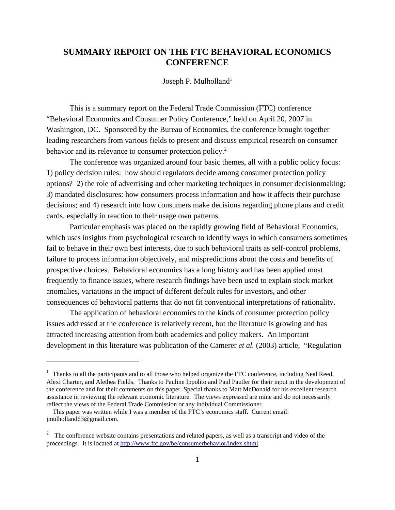# **SUMMARY REPORT ON THE FTC BEHAVIORAL ECONOMICS CONFERENCE**

Joseph P. Mulholland<sup>1</sup>

This is a summary report on the Federal Trade Commission (FTC) conference "Behavioral Economics and Consumer Policy Conference," held on April 20, 2007 in Washington, DC. Sponsored by the Bureau of Economics, the conference brought together leading researchers from various fields to present and discuss empirical research on consumer behavior and its relevance to consumer protection policy.<sup>2</sup>

The conference was organized around four basic themes, all with a public policy focus: 1) policy decision rules: how should regulators decide among consumer protection policy options? 2) the role of advertising and other marketing techniques in consumer decisionmaking; 3) mandated disclosures: how consumers process information and how it affects their purchase decisions; and 4) research into how consumers make decisions regarding phone plans and credit cards, especially in reaction to their usage own patterns.

Particular emphasis was placed on the rapidly growing field of Behavioral Economics, which uses insights from psychological research to identify ways in which consumers sometimes fail to behave in their own best interests, due to such behavioral traits as self-control problems, failure to process information objectively, and mispredictions about the costs and benefits of prospective choices. Behavioral economics has a long history and has been applied most frequently to finance issues, where research findings have been used to explain stock market anomalies, variations in the impact of different default rules for investors, and other consequences of behavioral patterns that do not fit conventional interpretations of rationality.

The application of behavioral economics to the kinds of consumer protection policy issues addressed at the conference is relatively recent, but the literature is growing and has attracted increasing attention from both academics and policy makers. An important development in this literature was publication of the Camerer *et al.* (2003) article, "Regulation

<sup>&</sup>lt;sup>1</sup> Thanks to all the participants and to all those who helped organize the FTC conference, including Neal Reed, Alexi Charter, and Alethea Fields. Thanks to Pauline Ippolito and Paul Pautler for their input in the development of the conference and for their comments on this paper. Special thanks to Matt McDonald for his excellent research assistance in reviewing the relevant economic literature. The views expressed are mine and do not necessarily reflect the views of the Federal Trade Commission or any individual Commissioner.

This paper was written while I was a member of the FTC's economics staff. Current email: jmulholland63@gmail.com.

 $2<sup>2</sup>$  The conference website contains presentations and related papers, as well as a transcript and video of the proceedings. It is located at http://www.ftc.gov/be/consumerbehavior/index.shtml.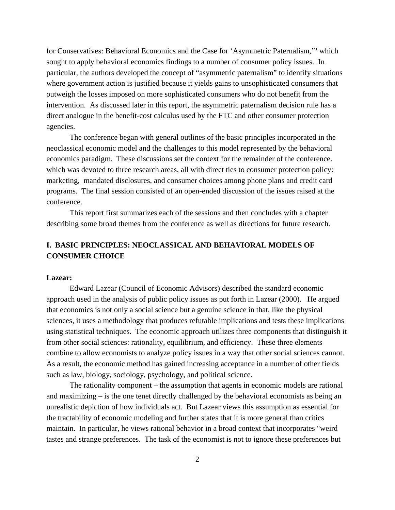for Conservatives: Behavioral Economics and the Case for 'Asymmetric Paternalism,'" which sought to apply behavioral economics findings to a number of consumer policy issues. In particular, the authors developed the concept of "asymmetric paternalism" to identify situations where government action is justified because it yields gains to unsophisticated consumers that outweigh the losses imposed on more sophisticated consumers who do not benefit from the intervention. As discussed later in this report, the asymmetric paternalism decision rule has a direct analogue in the benefit-cost calculus used by the FTC and other consumer protection agencies.

The conference began with general outlines of the basic principles incorporated in the neoclassical economic model and the challenges to this model represented by the behavioral economics paradigm. These discussions set the context for the remainder of the conference. which was devoted to three research areas, all with direct ties to consumer protection policy: marketing, mandated disclosures, and consumer choices among phone plans and credit card programs. The final session consisted of an open-ended discussion of the issues raised at the conference.

This report first summarizes each of the sessions and then concludes with a chapter describing some broad themes from the conference as well as directions for future research.

# **I. BASIC PRINCIPLES: NEOCLASSICAL AND BEHAVIORAL MODELS OF CONSUMER CHOICE**

## **Lazear:**

Edward Lazear (Council of Economic Advisors) described the standard economic approach used in the analysis of public policy issues as put forth in Lazear (2000). He argued that economics is not only a social science but a genuine science in that, like the physical sciences, it uses a methodology that produces refutable implications and tests these implications using statistical techniques. The economic approach utilizes three components that distinguish it from other social sciences: rationality, equilibrium, and efficiency. These three elements combine to allow economists to analyze policy issues in a way that other social sciences cannot. As a result, the economic method has gained increasing acceptance in a number of other fields such as law, biology, sociology, psychology, and political science.

The rationality component – the assumption that agents in economic models are rational and maximizing – is the one tenet directly challenged by the behavioral economists as being an unrealistic depiction of how individuals act. But Lazear views this assumption as essential for the tractability of economic modeling and further states that it is more general than critics maintain. In particular, he views rational behavior in a broad context that incorporates "weird tastes and strange preferences. The task of the economist is not to ignore these preferences but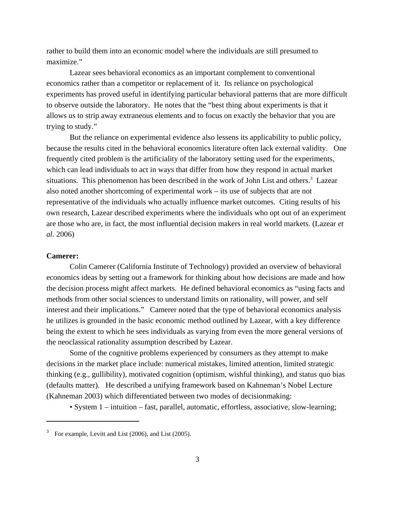rather to build them into an economic model where the individuals are still presumed to maximize."

Lazear sees behavioral economics as an important complement to conventional economics rather than a competitor or replacement of it. Its reliance on psychological experiments has proved useful in identifying particular behavioral patterns that are more difficult to observe outside the laboratory. He notes that the "best thing about experiments is that it allows us to strip away extraneous elements and to focus on exactly the behavior that you are trying to study."

But the reliance on experimental evidence also lessens its applicability to public policy, because the results cited in the behavioral economics literature often lack external validity. One frequently cited problem is the artificiality of the laboratory setting used for the experiments, which can lead individuals to act in ways that differ from how they respond in actual market situations. This phenomenon has been described in the work of John List and others.<sup>3</sup> Lazear also noted another shortcoming of experimental work – its use of subjects that are not representative of the individuals who actually influence market outcomes. Citing results of his own research, Lazear described experiments where the individuals who opt out of an experiment are those who are, in fact, the most influential decision makers in real world markets. (Lazear *et al.* 2006)

## **Camerer:**

Colin Camerer (California Institute of Technology) provided an overview of behavioral economics ideas by setting out a framework for thinking about how decisions are made and how the decision process might affect markets. He defined behavioral economics as "using facts and methods from other social sciences to understand limits on rationality, will power, and self interest and their implications." Camerer noted that the type of behavioral economics analysis he utilizes is grounded in the basic economic method outlined by Lazear, with a key difference being the extent to which he sees individuals as varying from even the more general versions of the neoclassical rationality assumption described by Lazear.

Some of the cognitive problems experienced by consumers as they attempt to make decisions in the market place include: numerical mistakes, limited attention, limited strategic thinking (e.g., gullibility), motivated cognition (optimism, wishful thinking), and status quo bias (defaults matter). He described a unifying framework based on Kahneman's Nobel Lecture (Kahneman 2003) which differentiated between two modes of decisionmaking:

• System 1 – intuition – fast, parallel, automatic, effortless, associative, slow-learning;

 $3$  For example, Levitt and List (2006), and List (2005).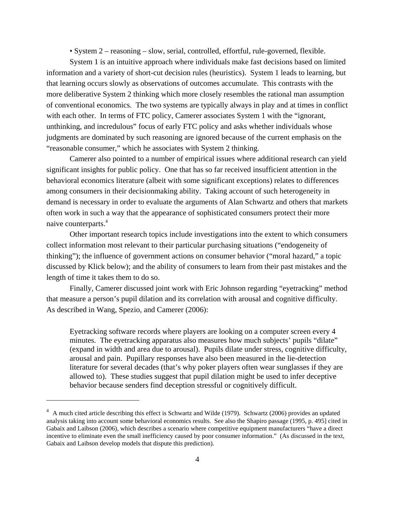• System 2 – reasoning – slow, serial, controlled, effortful, rule-governed, flexible.

System 1 is an intuitive approach where individuals make fast decisions based on limited information and a variety of short-cut decision rules (heuristics). System 1 leads to learning, but that learning occurs slowly as observations of outcomes accumulate. This contrasts with the more deliberative System 2 thinking which more closely resembles the rational man assumption of conventional economics. The two systems are typically always in play and at times in conflict with each other. In terms of FTC policy, Camerer associates System 1 with the "ignorant, unthinking, and incredulous" focus of early FTC policy and asks whether individuals whose judgments are dominated by such reasoning are ignored because of the current emphasis on the "reasonable consumer," which he associates with System 2 thinking.

Camerer also pointed to a number of empirical issues where additional research can yield significant insights for public policy. One that has so far received insufficient attention in the behavioral economics literature (albeit with some significant exceptions) relates to differences among consumers in their decisionmaking ability. Taking account of such heterogeneity in demand is necessary in order to evaluate the arguments of Alan Schwartz and others that markets often work in such a way that the appearance of sophisticated consumers protect their more naive counterparts.4

Other important research topics include investigations into the extent to which consumers collect information most relevant to their particular purchasing situations ("endogeneity of thinking"); the influence of government actions on consumer behavior ("moral hazard," a topic discussed by Klick below); and the ability of consumers to learn from their past mistakes and the length of time it takes them to do so.

Finally, Camerer discussed joint work with Eric Johnson regarding "eyetracking" method that measure a person's pupil dilation and its correlation with arousal and cognitive difficulty. As described in Wang, Spezio, and Camerer (2006):

Eyetracking software records where players are looking on a computer screen every 4 minutes. The eyetracking apparatus also measures how much subjects' pupils "dilate" (expand in width and area due to arousal). Pupils dilate under stress, cognitive difficulty, arousal and pain. Pupillary responses have also been measured in the lie-detection literature for several decades (that's why poker players often wear sunglasses if they are allowed to). These studies suggest that pupil dilation might be used to infer deceptive behavior because senders find deception stressful or cognitively difficult.

<sup>&</sup>lt;sup>4</sup> A much cited article describing this effect is Schwartz and Wilde (1979). Schwartz (2006) provides an updated analysis taking into account some behavioral economics results. See also the Shapiro passage (1995, p. 495] cited in Gabaix and Laibson (2006), which describes a scenario where competitive equipment manufacturers "have a direct incentive to eliminate even the small inefficiency caused by poor consumer information." (As discussed in the text, Gabaix and Laibson develop models that dispute this prediction).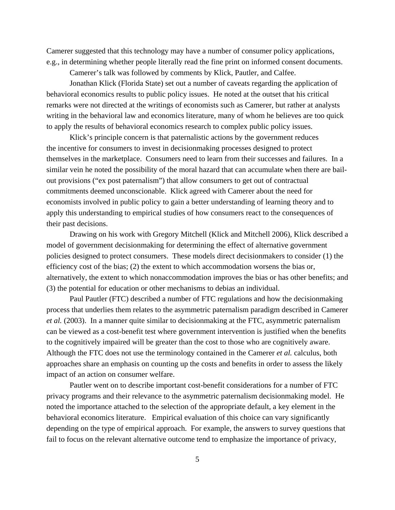Camerer suggested that this technology may have a number of consumer policy applications, e.g., in determining whether people literally read the fine print on informed consent documents.

Camerer's talk was followed by comments by Klick, Pautler, and Calfee.

Jonathan Klick (Florida State) set out a number of caveats regarding the application of behavioral economics results to public policy issues. He noted at the outset that his critical remarks were not directed at the writings of economists such as Camerer, but rather at analysts writing in the behavioral law and economics literature, many of whom he believes are too quick to apply the results of behavioral economics research to complex public policy issues.

Klick's principle concern is that paternalistic actions by the government reduces the incentive for consumers to invest in decisionmaking processes designed to protect themselves in the marketplace. Consumers need to learn from their successes and failures. In a similar vein he noted the possibility of the moral hazard that can accumulate when there are bailout provisions ("ex post paternalism") that allow consumers to get out of contractual commitments deemed unconscionable. Klick agreed with Camerer about the need for economists involved in public policy to gain a better understanding of learning theory and to apply this understanding to empirical studies of how consumers react to the consequences of their past decisions.

Drawing on his work with Gregory Mitchell (Klick and Mitchell 2006), Klick described a model of government decisionmaking for determining the effect of alternative government policies designed to protect consumers. These models direct decisionmakers to consider (1) the efficiency cost of the bias; (2) the extent to which accommodation worsens the bias or, alternatively, the extent to which nonaccommodation improves the bias or has other benefits; and (3) the potential for education or other mechanisms to debias an individual.

Paul Pautler (FTC) described a number of FTC regulations and how the decisionmaking process that underlies them relates to the asymmetric paternalism paradigm described in Camerer *et al.* (2003). In a manner quite similar to decisionmaking at the FTC, asymmetric paternalism can be viewed as a cost-benefit test where government intervention is justified when the benefits to the cognitively impaired will be greater than the cost to those who are cognitively aware. Although the FTC does not use the terminology contained in the Camerer *et al.* calculus, both approaches share an emphasis on counting up the costs and benefits in order to assess the likely impact of an action on consumer welfare.

Pautler went on to describe important cost-benefit considerations for a number of FTC privacy programs and their relevance to the asymmetric paternalism decisionmaking model. He noted the importance attached to the selection of the appropriate default, a key element in the behavioral economics literature. Empirical evaluation of this choice can vary significantly depending on the type of empirical approach. For example, the answers to survey questions that fail to focus on the relevant alternative outcome tend to emphasize the importance of privacy,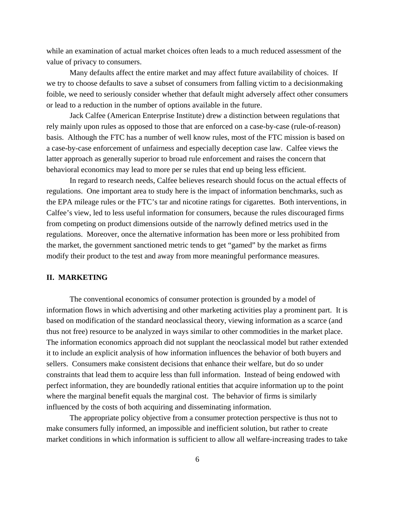while an examination of actual market choices often leads to a much reduced assessment of the value of privacy to consumers.

Many defaults affect the entire market and may affect future availability of choices. If we try to choose defaults to save a subset of consumers from falling victim to a decisionmaking foible, we need to seriously consider whether that default might adversely affect other consumers or lead to a reduction in the number of options available in the future.

Jack Calfee (American Enterprise Institute) drew a distinction between regulations that rely mainly upon rules as opposed to those that are enforced on a case-by-case (rule-of-reason) basis. Although the FTC has a number of well know rules, most of the FTC mission is based on a case-by-case enforcement of unfairness and especially deception case law. Calfee views the latter approach as generally superior to broad rule enforcement and raises the concern that behavioral economics may lead to more per se rules that end up being less efficient.

In regard to research needs, Calfee believes research should focus on the actual effects of regulations. One important area to study here is the impact of information benchmarks, such as the EPA mileage rules or the FTC's tar and nicotine ratings for cigarettes. Both interventions, in Calfee's view, led to less useful information for consumers, because the rules discouraged firms from competing on product dimensions outside of the narrowly defined metrics used in the regulations. Moreover, once the alternative information has been more or less prohibited from the market, the government sanctioned metric tends to get "gamed" by the market as firms modify their product to the test and away from more meaningful performance measures.

# **II. MARKETING**

The conventional economics of consumer protection is grounded by a model of information flows in which advertising and other marketing activities play a prominent part. It is based on modification of the standard neoclassical theory, viewing information as a scarce (and thus not free) resource to be analyzed in ways similar to other commodities in the market place. The information economics approach did not supplant the neoclassical model but rather extended it to include an explicit analysis of how information influences the behavior of both buyers and sellers. Consumers make consistent decisions that enhance their welfare, but do so under constraints that lead them to acquire less than full information. Instead of being endowed with perfect information, they are boundedly rational entities that acquire information up to the point where the marginal benefit equals the marginal cost. The behavior of firms is similarly influenced by the costs of both acquiring and disseminating information.

The appropriate policy objective from a consumer protection perspective is thus not to make consumers fully informed, an impossible and inefficient solution, but rather to create market conditions in which information is sufficient to allow all welfare-increasing trades to take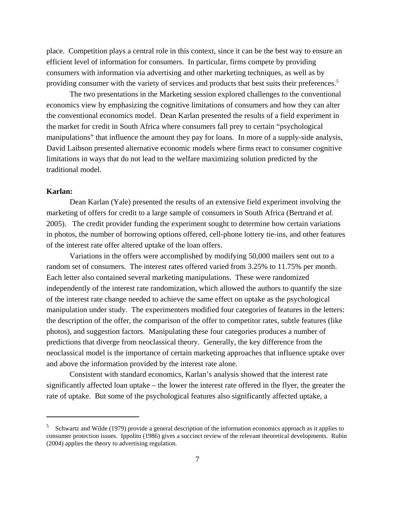place. Competition plays a central role in this context, since it can be the best way to ensure an efficient level of information for consumers. In particular, firms compete by providing consumers with information via advertising and other marketing techniques, as well as by providing consumer with the variety of services and products that best suits their preferences.<sup>5</sup>

The two presentations in the Marketing session explored challenges to the conventional economics view by emphasizing the cognitive limitations of consumers and how they can alter the conventional economics model. Dean Karlan presented the results of a field experiment in the market for credit in South Africa where consumers fall prey to certain "psychological manipulations" that influence the amount they pay for loans. In more of a supply-side analysis, David Laibson presented alternative economic models where firms react to consumer cognitive limitations in ways that do not lead to the welfare maximizing solution predicted by the traditional model.

# **Karlan:**

Dean Karlan (Yale) presented the results of an extensive field experiment involving the marketing of offers for credit to a large sample of consumers in South Africa (Bertrand *et al.* 2005). The credit provider funding the experiment sought to determine how certain variations in photos, the number of borrowing options offered, cell-phone lottery tie-ins, and other features of the interest rate offer altered uptake of the loan offers.

Variations in the offers were accomplished by modifying 50,000 mailers sent out to a random set of consumers. The interest rates offered varied from 3.25% to 11.75% per month. Each letter also contained several marketing manipulations. These were randomized independently of the interest rate randomization, which allowed the authors to quantify the size of the interest rate change needed to achieve the same effect on uptake as the psychological manipulation under study. The experimenters modified four categories of features in the letters: the description of the offer, the comparison of the offer to competitor rates, subtle features (like photos), and suggestion factors. Manipulating these four categories produces a number of predictions that diverge from neoclassical theory. Generally, the key difference from the neoclassical model is the importance of certain marketing approaches that influence uptake over and above the information provided by the interest rate alone.

Consistent with standard economics, Karlan's analysis showed that the interest rate significantly affected loan uptake – the lower the interest rate offered in the flyer, the greater the rate of uptake. But some of the psychological features also significantly affected uptake, a

<sup>&</sup>lt;sup>5</sup> Schwartz and Wilde (1979) provide a general description of the information economics approach as it applies to consumer protection issues. Ippolito (1986) gives a succinct review of the relevant theoretical developments. Rubin (2004) applies the theory to advertising regulation.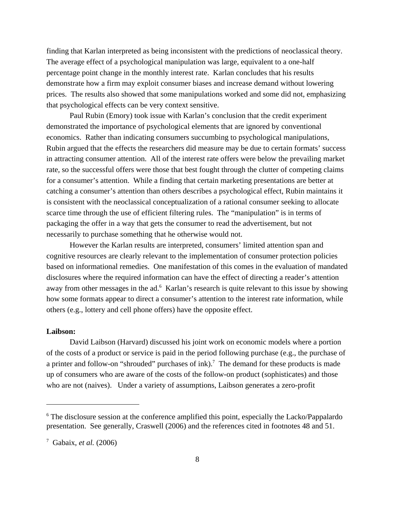finding that Karlan interpreted as being inconsistent with the predictions of neoclassical theory. The average effect of a psychological manipulation was large, equivalent to a one-half percentage point change in the monthly interest rate. Karlan concludes that his results demonstrate how a firm may exploit consumer biases and increase demand without lowering prices. The results also showed that some manipulations worked and some did not, emphasizing that psychological effects can be very context sensitive.

 Paul Rubin (Emory) took issue with Karlan's conclusion that the credit experiment demonstrated the importance of psychological elements that are ignored by conventional economics. Rather than indicating consumers succumbing to psychological manipulations, Rubin argued that the effects the researchers did measure may be due to certain formats' success in attracting consumer attention. All of the interest rate offers were below the prevailing market rate, so the successful offers were those that best fought through the clutter of competing claims for a consumer's attention. While a finding that certain marketing presentations are better at catching a consumer's attention than others describes a psychological effect, Rubin maintains it is consistent with the neoclassical conceptualization of a rational consumer seeking to allocate scarce time through the use of efficient filtering rules. The "manipulation" is in terms of packaging the offer in a way that gets the consumer to read the advertisement, but not necessarily to purchase something that he otherwise would not.

However the Karlan results are interpreted, consumers' limited attention span and cognitive resources are clearly relevant to the implementation of consumer protection policies based on informational remedies. One manifestation of this comes in the evaluation of mandated disclosures where the required information can have the effect of directing a reader's attention away from other messages in the ad.<sup>6</sup> Karlan's research is quite relevant to this issue by showing how some formats appear to direct a consumer's attention to the interest rate information, while others (e.g., lottery and cell phone offers) have the opposite effect.

#### **Laibson:**

David Laibson (Harvard) discussed his joint work on economic models where a portion of the costs of a product or service is paid in the period following purchase (e.g., the purchase of a printer and follow-on "shrouded" purchases of ink).<sup>7</sup> The demand for these products is made up of consumers who are aware of the costs of the follow-on product (sophisticates) and those who are not (naives). Under a variety of assumptions, Laibson generates a zero-profit

<sup>&</sup>lt;sup>6</sup> The disclosure session at the conference amplified this point, especially the Lacko/Pappalardo presentation. See generally, Craswell (2006) and the references cited in footnotes 48 and 51.

<sup>7</sup> Gabaix, *et al.* (2006)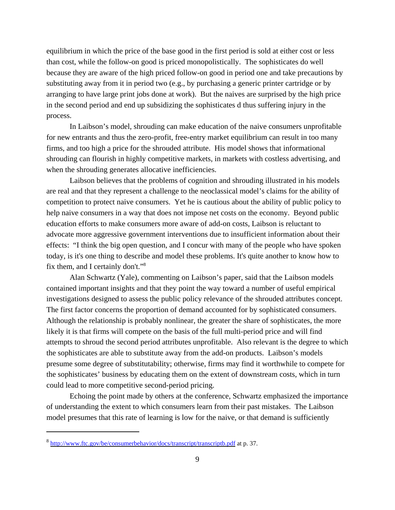equilibrium in which the price of the base good in the first period is sold at either cost or less than cost, while the follow-on good is priced monopolistically. The sophisticates do well because they are aware of the high priced follow-on good in period one and take precautions by substituting away from it in period two (e.g., by purchasing a generic printer cartridge or by arranging to have large print jobs done at work). But the naives are surprised by the high price in the second period and end up subsidizing the sophisticates d thus suffering injury in the process.

In Laibson's model, shrouding can make education of the naive consumers unprofitable for new entrants and thus the zero-profit, free-entry market equilibrium can result in too many firms, and too high a price for the shrouded attribute. His model shows that informational shrouding can flourish in highly competitive markets, in markets with costless advertising, and when the shrouding generates allocative inefficiencies.

Laibson believes that the problems of cognition and shrouding illustrated in his models are real and that they represent a challenge to the neoclassical model's claims for the ability of competition to protect naive consumers. Yet he is cautious about the ability of public policy to help naive consumers in a way that does not impose net costs on the economy. Beyond public education efforts to make consumers more aware of add-on costs, Laibson is reluctant to advocate more aggressive government interventions due to insufficient information about their effects: "I think the big open question, and I concur with many of the people who have spoken today, is it's one thing to describe and model these problems. It's quite another to know how to fix them, and I certainly don't."8

 Alan Schwartz (Yale), commenting on Laibson's paper, said that the Laibson models contained important insights and that they point the way toward a number of useful empirical investigations designed to assess the public policy relevance of the shrouded attributes concept. The first factor concerns the proportion of demand accounted for by sophisticated consumers. Although the relationship is probably nonlinear, the greater the share of sophisticates, the more likely it is that firms will compete on the basis of the full multi-period price and will find attempts to shroud the second period attributes unprofitable. Also relevant is the degree to which the sophisticates are able to substitute away from the add-on products. Laibson's models presume some degree of substitutability; otherwise, firms may find it worthwhile to compete for the sophisticates' business by educating them on the extent of downstream costs, which in turn could lead to more competitive second-period pricing.

Echoing the point made by others at the conference, Schwartz emphasized the importance of understanding the extent to which consumers learn from their past mistakes. The Laibson model presumes that this rate of learning is low for the naive, or that demand is sufficiently

<sup>8</sup> http://www.ftc.gov/be/consumerbehavior/docs/transcript/transcriptb.pdf at p. 37.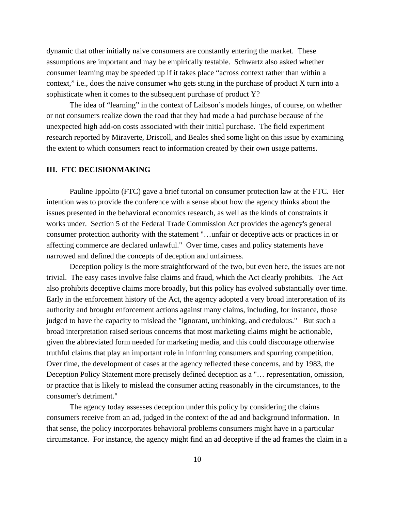dynamic that other initially naive consumers are constantly entering the market. These assumptions are important and may be empirically testable. Schwartz also asked whether consumer learning may be speeded up if it takes place "across context rather than within a context," i.e., does the naive consumer who gets stung in the purchase of product X turn into a sophisticate when it comes to the subsequent purchase of product Y?

The idea of "learning" in the context of Laibson's models hinges, of course, on whether or not consumers realize down the road that they had made a bad purchase because of the unexpected high add-on costs associated with their initial purchase. The field experiment research reported by Miraverte, Driscoll, and Beales shed some light on this issue by examining the extent to which consumers react to information created by their own usage patterns.

#### **III. FTC DECISIONMAKING**

Pauline Ippolito (FTC) gave a brief tutorial on consumer protection law at the FTC. Her intention was to provide the conference with a sense about how the agency thinks about the issues presented in the behavioral economics research, as well as the kinds of constraints it works under. Section 5 of the Federal Trade Commission Act provides the agency's general consumer protection authority with the statement "…unfair or deceptive acts or practices in or affecting commerce are declared unlawful." Over time, cases and policy statements have narrowed and defined the concepts of deception and unfairness.

Deception policy is the more straightforward of the two, but even here, the issues are not trivial. The easy cases involve false claims and fraud, which the Act clearly prohibits. The Act also prohibits deceptive claims more broadly, but this policy has evolved substantially over time. Early in the enforcement history of the Act, the agency adopted a very broad interpretation of its authority and brought enforcement actions against many claims, including, for instance, those judged to have the capacity to mislead the "ignorant, unthinking, and credulous." But such a broad interpretation raised serious concerns that most marketing claims might be actionable, given the abbreviated form needed for marketing media, and this could discourage otherwise truthful claims that play an important role in informing consumers and spurring competition. Over time, the development of cases at the agency reflected these concerns, and by 1983, the Deception Policy Statement more precisely defined deception as a "… representation, omission, or practice that is likely to mislead the consumer acting reasonably in the circumstances, to the consumer's detriment."

The agency today assesses deception under this policy by considering the claims consumers receive from an ad, judged in the context of the ad and background information. In that sense, the policy incorporates behavioral problems consumers might have in a particular circumstance. For instance, the agency might find an ad deceptive if the ad frames the claim in a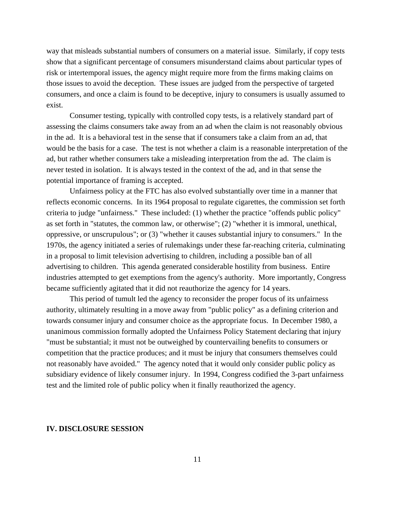way that misleads substantial numbers of consumers on a material issue. Similarly, if copy tests show that a significant percentage of consumers misunderstand claims about particular types of risk or intertemporal issues, the agency might require more from the firms making claims on those issues to avoid the deception. These issues are judged from the perspective of targeted consumers, and once a claim is found to be deceptive, injury to consumers is usually assumed to exist.

Consumer testing, typically with controlled copy tests, is a relatively standard part of assessing the claims consumers take away from an ad when the claim is not reasonably obvious in the ad. It is a behavioral test in the sense that if consumers take a claim from an ad, that would be the basis for a case. The test is not whether a claim is a reasonable interpretation of the ad, but rather whether consumers take a misleading interpretation from the ad. The claim is never tested in isolation. It is always tested in the context of the ad, and in that sense the potential importance of framing is accepted.

Unfairness policy at the FTC has also evolved substantially over time in a manner that reflects economic concerns. In its 1964 proposal to regulate cigarettes, the commission set forth criteria to judge "unfairness." These included: (1) whether the practice "offends public policy" as set forth in "statutes, the common law, or otherwise"; (2) "whether it is immoral, unethical, oppressive, or unscrupulous"; or (3) "whether it causes substantial injury to consumers." In the 1970s, the agency initiated a series of rulemakings under these far-reaching criteria, culminating in a proposal to limit television advertising to children, including a possible ban of all advertising to children. This agenda generated considerable hostility from business. Entire industries attempted to get exemptions from the agency's authority. More importantly, Congress became sufficiently agitated that it did not reauthorize the agency for 14 years.

This period of tumult led the agency to reconsider the proper focus of its unfairness authority, ultimately resulting in a move away from "public policy" as a defining criterion and towards consumer injury and consumer choice as the appropriate focus. In December 1980, a unanimous commission formally adopted the Unfairness Policy Statement declaring that injury "must be substantial; it must not be outweighed by countervailing benefits to consumers or competition that the practice produces; and it must be injury that consumers themselves could not reasonably have avoided." The agency noted that it would only consider public policy as subsidiary evidence of likely consumer injury. In 1994, Congress codified the 3-part unfairness test and the limited role of public policy when it finally reauthorized the agency.

## **IV. DISCLOSURE SESSION**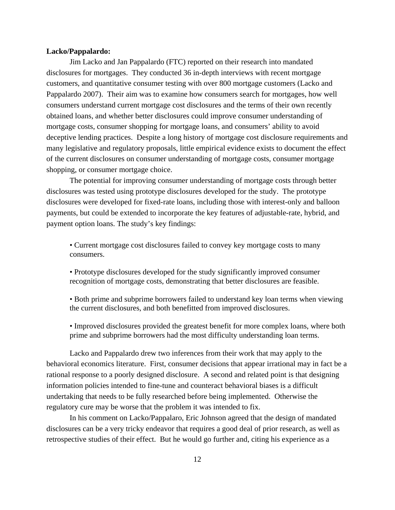#### **Lacko/Pappalardo:**

Jim Lacko and Jan Pappalardo (FTC) reported on their research into mandated disclosures for mortgages. They conducted 36 in-depth interviews with recent mortgage customers, and quantitative consumer testing with over 800 mortgage customers (Lacko and Pappalardo 2007). Their aim was to examine how consumers search for mortgages, how well consumers understand current mortgage cost disclosures and the terms of their own recently obtained loans, and whether better disclosures could improve consumer understanding of mortgage costs, consumer shopping for mortgage loans, and consumers' ability to avoid deceptive lending practices. Despite a long history of mortgage cost disclosure requirements and many legislative and regulatory proposals, little empirical evidence exists to document the effect of the current disclosures on consumer understanding of mortgage costs, consumer mortgage shopping, or consumer mortgage choice.

The potential for improving consumer understanding of mortgage costs through better disclosures was tested using prototype disclosures developed for the study. The prototype disclosures were developed for fixed-rate loans, including those with interest-only and balloon payments, but could be extended to incorporate the key features of adjustable-rate, hybrid, and payment option loans. The study's key findings:

• Current mortgage cost disclosures failed to convey key mortgage costs to many consumers.

• Prototype disclosures developed for the study significantly improved consumer recognition of mortgage costs, demonstrating that better disclosures are feasible.

• Both prime and subprime borrowers failed to understand key loan terms when viewing the current disclosures, and both benefitted from improved disclosures.

• Improved disclosures provided the greatest benefit for more complex loans, where both prime and subprime borrowers had the most difficulty understanding loan terms.

Lacko and Pappalardo drew two inferences from their work that may apply to the behavioral economics literature. First, consumer decisions that appear irrational may in fact be a rational response to a poorly designed disclosure. A second and related point is that designing information policies intended to fine-tune and counteract behavioral biases is a difficult undertaking that needs to be fully researched before being implemented. Otherwise the regulatory cure may be worse that the problem it was intended to fix.

In his comment on Lacko/Pappalaro, Eric Johnson agreed that the design of mandated disclosures can be a very tricky endeavor that requires a good deal of prior research, as well as retrospective studies of their effect. But he would go further and, citing his experience as a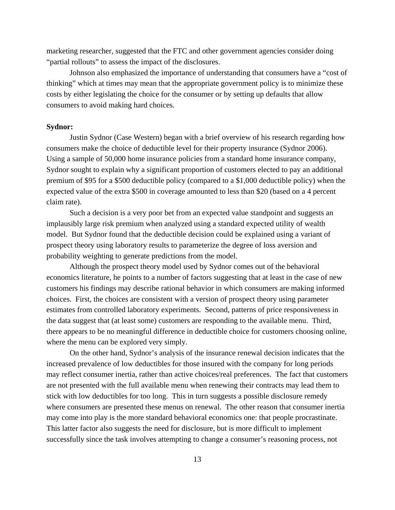marketing researcher, suggested that the FTC and other government agencies consider doing "partial rollouts" to assess the impact of the disclosures.

Johnson also emphasized the importance of understanding that consumers have a "cost of thinking" which at times may mean that the appropriate government policy is to minimize these costs by either legislating the choice for the consumer or by setting up defaults that allow consumers to avoid making hard choices.

#### **Sydnor:**

Justin Sydnor (Case Western) began with a brief overview of his research regarding how consumers make the choice of deductible level for their property insurance (Sydnor 2006). Using a sample of 50,000 home insurance policies from a standard home insurance company, Sydnor sought to explain why a significant proportion of customers elected to pay an additional premium of \$95 for a \$500 deductible policy (compared to a \$1,000 deductible policy) when the expected value of the extra \$500 in coverage amounted to less than \$20 (based on a 4 percent claim rate).

Such a decision is a very poor bet from an expected value standpoint and suggests an implausibly large risk premium when analyzed using a standard expected utility of wealth model. But Sydnor found that the deductible decision could be explained using a variant of prospect theory using laboratory results to parameterize the degree of loss aversion and probability weighting to generate predictions from the model.

Although the prospect theory model used by Sydnor comes out of the behavioral economics literature, he points to a number of factors suggesting that at least in the case of new customers his findings may describe rational behavior in which consumers are making informed choices. First, the choices are consistent with a version of prospect theory using parameter estimates from controlled laboratory experiments. Second, patterns of price responsiveness in the data suggest that (at least some) customers are responding to the available menu. Third, there appears to be no meaningful difference in deductible choice for customers choosing online, where the menu can be explored very simply.

On the other hand, Sydnor's analysis of the insurance renewal decision indicates that the increased prevalence of low deductibles for those insured with the company for long periods may reflect consumer inertia, rather than active choices/real preferences. The fact that customers are not presented with the full available menu when renewing their contracts may lead them to stick with low deductibles for too long. This in turn suggests a possible disclosure remedy where consumers are presented these menus on renewal. The other reason that consumer inertia may come into play is the more standard behavioral economics one: that people procrastinate. This latter factor also suggests the need for disclosure, but is more difficult to implement successfully since the task involves attempting to change a consumer's reasoning process, not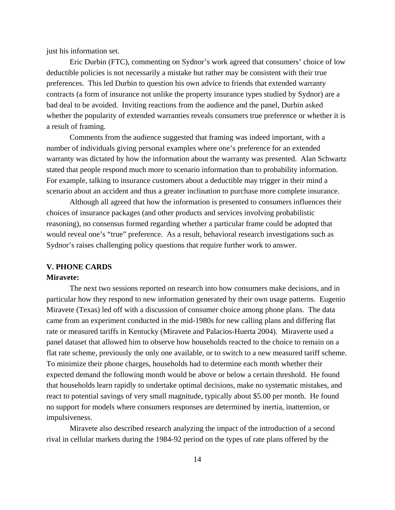just his information set.

Eric Durbin (FTC), commenting on Sydnor's work agreed that consumers' choice of low deductible policies is not necessarily a mistake but rather may be consistent with their true preferences. This led Durbin to question his own advice to friends that extended warranty contracts (a form of insurance not unlike the property insurance types studied by Sydnor) are a bad deal to be avoided. Inviting reactions from the audience and the panel, Durbin asked whether the popularity of extended warranties reveals consumers true preference or whether it is a result of framing.

Comments from the audience suggested that framing was indeed important, with a number of individuals giving personal examples where one's preference for an extended warranty was dictated by how the information about the warranty was presented. Alan Schwartz stated that people respond much more to scenario information than to probability information. For example, talking to insurance customers about a deductible may trigger in their mind a scenario about an accident and thus a greater inclination to purchase more complete insurance.

Although all agreed that how the information is presented to consumers influences their choices of insurance packages (and other products and services involving probabilistic reasoning), no consensus formed regarding whether a particular frame could be adopted that would reveal one's "true" preference. As a result, behavioral research investigations such as Sydnor's raises challenging policy questions that require further work to answer.

#### **V. PHONE CARDS**

#### **Miravete:**

The next two sessions reported on research into how consumers make decisions, and in particular how they respond to new information generated by their own usage patterns. Eugenio Miravete (Texas) led off with a discussion of consumer choice among phone plans. The data came from an experiment conducted in the mid-1980s for new calling plans and differing flat rate or measured tariffs in Kentucky (Miravete and Palacios-Huerta 2004). Miraverte used a panel dataset that allowed him to observe how households reacted to the choice to remain on a flat rate scheme, previously the only one available, or to switch to a new measured tariff scheme. To minimize their phone charges, households had to determine each month whether their expected demand the following month would be above or below a certain threshold. He found that households learn rapidly to undertake optimal decisions, make no systematic mistakes, and react to potential savings of very small magnitude, typically about \$5.00 per month. He found no support for models where consumers responses are determined by inertia, inattention, or impulsiveness.

Miravete also described research analyzing the impact of the introduction of a second rival in cellular markets during the 1984-92 period on the types of rate plans offered by the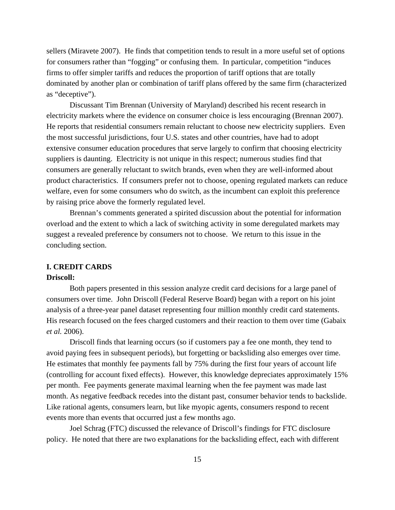sellers (Miravete 2007). He finds that competition tends to result in a more useful set of options for consumers rather than "fogging" or confusing them. In particular, competition "induces firms to offer simpler tariffs and reduces the proportion of tariff options that are totally dominated by another plan or combination of tariff plans offered by the same firm (characterized as "deceptive").

Discussant Tim Brennan (University of Maryland) described his recent research in electricity markets where the evidence on consumer choice is less encouraging (Brennan 2007). He reports that residential consumers remain reluctant to choose new electricity suppliers. Even the most successful jurisdictions, four U.S. states and other countries, have had to adopt extensive consumer education procedures that serve largely to confirm that choosing electricity suppliers is daunting. Electricity is not unique in this respect; numerous studies find that consumers are generally reluctant to switch brands, even when they are well-informed about product characteristics. If consumers prefer not to choose, opening regulated markets can reduce welfare, even for some consumers who do switch, as the incumbent can exploit this preference by raising price above the formerly regulated level.

Brennan's comments generated a spirited discussion about the potential for information overload and the extent to which a lack of switching activity in some deregulated markets may suggest a revealed preference by consumers not to choose. We return to this issue in the concluding section.

# **I. CREDIT CARDS**

# **Driscoll:**

Both papers presented in this session analyze credit card decisions for a large panel of consumers over time. John Driscoll (Federal Reserve Board) began with a report on his joint analysis of a three-year panel dataset representing four million monthly credit card statements. His research focused on the fees charged customers and their reaction to them over time (Gabaix *et al.* 2006).

Driscoll finds that learning occurs (so if customers pay a fee one month, they tend to avoid paying fees in subsequent periods), but forgetting or backsliding also emerges over time. He estimates that monthly fee payments fall by 75% during the first four years of account life (controlling for account fixed effects). However, this knowledge depreciates approximately 15% per month. Fee payments generate maximal learning when the fee payment was made last month. As negative feedback recedes into the distant past, consumer behavior tends to backslide. Like rational agents, consumers learn, but like myopic agents, consumers respond to recent events more than events that occurred just a few months ago.

Joel Schrag (FTC) discussed the relevance of Driscoll's findings for FTC disclosure policy. He noted that there are two explanations for the backsliding effect, each with different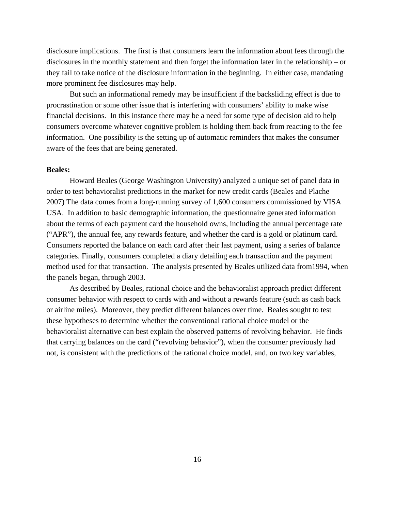disclosure implications. The first is that consumers learn the information about fees through the disclosures in the monthly statement and then forget the information later in the relationship – or they fail to take notice of the disclosure information in the beginning. In either case, mandating more prominent fee disclosures may help.

But such an informational remedy may be insufficient if the backsliding effect is due to procrastination or some other issue that is interfering with consumers' ability to make wise financial decisions. In this instance there may be a need for some type of decision aid to help consumers overcome whatever cognitive problem is holding them back from reacting to the fee information. One possibility is the setting up of automatic reminders that makes the consumer aware of the fees that are being generated.

# **Beales:**

Howard Beales (George Washington University) analyzed a unique set of panel data in order to test behavioralist predictions in the market for new credit cards (Beales and Plache 2007) The data comes from a long-running survey of 1,600 consumers commissioned by VISA USA. In addition to basic demographic information, the questionnaire generated information about the terms of each payment card the household owns, including the annual percentage rate ("APR"), the annual fee, any rewards feature, and whether the card is a gold or platinum card. Consumers reported the balance on each card after their last payment, using a series of balance categories. Finally, consumers completed a diary detailing each transaction and the payment method used for that transaction. The analysis presented by Beales utilized data from1994, when the panels began, through 2003.

As described by Beales, rational choice and the behavioralist approach predict different consumer behavior with respect to cards with and without a rewards feature (such as cash back or airline miles). Moreover, they predict different balances over time. Beales sought to test these hypotheses to determine whether the conventional rational choice model or the behavioralist alternative can best explain the observed patterns of revolving behavior. He finds that carrying balances on the card ("revolving behavior"), when the consumer previously had not, is consistent with the predictions of the rational choice model, and, on two key variables,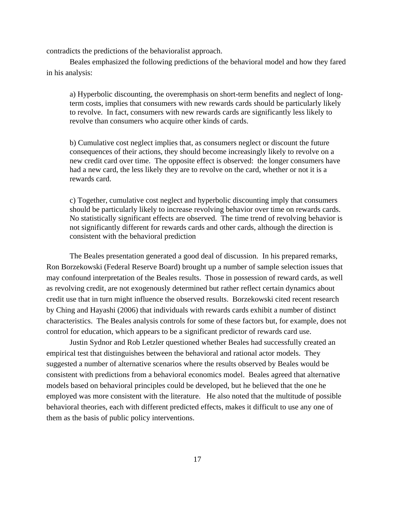contradicts the predictions of the behavioralist approach.

Beales emphasized the following predictions of the behavioral model and how they fared in his analysis:

a) Hyperbolic discounting, the overemphasis on short-term benefits and neglect of longterm costs, implies that consumers with new rewards cards should be particularly likely to revolve. In fact, consumers with new rewards cards are significantly less likely to revolve than consumers who acquire other kinds of cards.

b) Cumulative cost neglect implies that, as consumers neglect or discount the future consequences of their actions, they should become increasingly likely to revolve on a new credit card over time. The opposite effect is observed: the longer consumers have had a new card, the less likely they are to revolve on the card, whether or not it is a rewards card.

c) Together, cumulative cost neglect and hyperbolic discounting imply that consumers should be particularly likely to increase revolving behavior over time on rewards cards. No statistically significant effects are observed. The time trend of revolving behavior is not significantly different for rewards cards and other cards, although the direction is consistent with the behavioral prediction

The Beales presentation generated a good deal of discussion. In his prepared remarks, Ron Borzekowski (Federal Reserve Board) brought up a number of sample selection issues that may confound interpretation of the Beales results. Those in possession of reward cards, as well as revolving credit, are not exogenously determined but rather reflect certain dynamics about credit use that in turn might influence the observed results. Borzekowski cited recent research by Ching and Hayashi (2006) that individuals with rewards cards exhibit a number of distinct characteristics. The Beales analysis controls for some of these factors but, for example, does not control for education, which appears to be a significant predictor of rewards card use.

Justin Sydnor and Rob Letzler questioned whether Beales had successfully created an empirical test that distinguishes between the behavioral and rational actor models. They suggested a number of alternative scenarios where the results observed by Beales would be consistent with predictions from a behavioral economics model. Beales agreed that alternative models based on behavioral principles could be developed, but he believed that the one he employed was more consistent with the literature. He also noted that the multitude of possible behavioral theories, each with different predicted effects, makes it difficult to use any one of them as the basis of public policy interventions.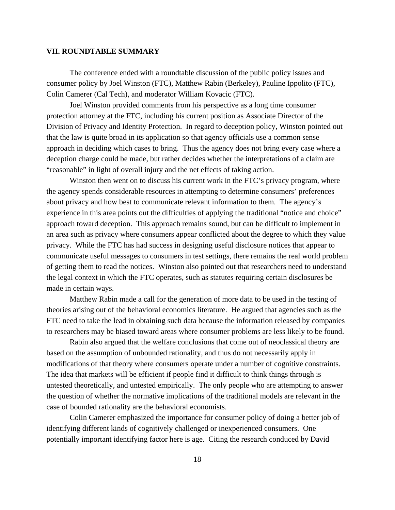## **VII. ROUNDTABLE SUMMARY**

The conference ended with a roundtable discussion of the public policy issues and consumer policy by Joel Winston (FTC), Matthew Rabin (Berkeley), Pauline Ippolito (FTC), Colin Camerer (Cal Tech), and moderator William Kovacic (FTC).

Joel Winston provided comments from his perspective as a long time consumer protection attorney at the FTC, including his current position as Associate Director of the Division of Privacy and Identity Protection. In regard to deception policy, Winston pointed out that the law is quite broad in its application so that agency officials use a common sense approach in deciding which cases to bring. Thus the agency does not bring every case where a deception charge could be made, but rather decides whether the interpretations of a claim are "reasonable" in light of overall injury and the net effects of taking action.

Winston then went on to discuss his current work in the FTC's privacy program, where the agency spends considerable resources in attempting to determine consumers' preferences about privacy and how best to communicate relevant information to them. The agency's experience in this area points out the difficulties of applying the traditional "notice and choice" approach toward deception. This approach remains sound, but can be difficult to implement in an area such as privacy where consumers appear conflicted about the degree to which they value privacy. While the FTC has had success in designing useful disclosure notices that appear to communicate useful messages to consumers in test settings, there remains the real world problem of getting them to read the notices. Winston also pointed out that researchers need to understand the legal context in which the FTC operates, such as statutes requiring certain disclosures be made in certain ways.

Matthew Rabin made a call for the generation of more data to be used in the testing of theories arising out of the behavioral economics literature. He argued that agencies such as the FTC need to take the lead in obtaining such data because the information released by companies to researchers may be biased toward areas where consumer problems are less likely to be found.

Rabin also argued that the welfare conclusions that come out of neoclassical theory are based on the assumption of unbounded rationality, and thus do not necessarily apply in modifications of that theory where consumers operate under a number of cognitive constraints. The idea that markets will be efficient if people find it difficult to think things through is untested theoretically, and untested empirically. The only people who are attempting to answer the question of whether the normative implications of the traditional models are relevant in the case of bounded rationality are the behavioral economists.

Colin Camerer emphasized the importance for consumer policy of doing a better job of identifying different kinds of cognitively challenged or inexperienced consumers. One potentially important identifying factor here is age. Citing the research conduced by David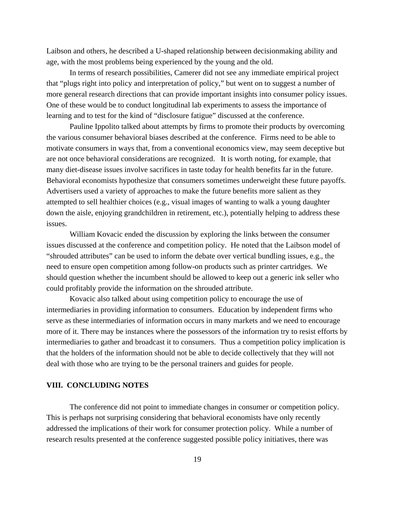Laibson and others, he described a U-shaped relationship between decisionmaking ability and age, with the most problems being experienced by the young and the old.

In terms of research possibilities, Camerer did not see any immediate empirical project that "plugs right into policy and interpretation of policy," but went on to suggest a number of more general research directions that can provide important insights into consumer policy issues. One of these would be to conduct longitudinal lab experiments to assess the importance of learning and to test for the kind of "disclosure fatigue" discussed at the conference.

Pauline Ippolito talked about attempts by firms to promote their products by overcoming the various consumer behavioral biases described at the conference. Firms need to be able to motivate consumers in ways that, from a conventional economics view, may seem deceptive but are not once behavioral considerations are recognized. It is worth noting, for example, that many diet-disease issues involve sacrifices in taste today for health benefits far in the future. Behavioral economists hypothesize that consumers sometimes underweight these future payoffs. Advertisers used a variety of approaches to make the future benefits more salient as they attempted to sell healthier choices (e.g., visual images of wanting to walk a young daughter down the aisle, enjoying grandchildren in retirement, etc.), potentially helping to address these issues.

William Kovacic ended the discussion by exploring the links between the consumer issues discussed at the conference and competition policy. He noted that the Laibson model of "shrouded attributes" can be used to inform the debate over vertical bundling issues, e.g., the need to ensure open competition among follow-on products such as printer cartridges. We should question whether the incumbent should be allowed to keep out a generic ink seller who could profitably provide the information on the shrouded attribute.

Kovacic also talked about using competition policy to encourage the use of intermediaries in providing information to consumers. Education by independent firms who serve as these intermediaries of information occurs in many markets and we need to encourage more of it. There may be instances where the possessors of the information try to resist efforts by intermediaries to gather and broadcast it to consumers. Thus a competition policy implication is that the holders of the information should not be able to decide collectively that they will not deal with those who are trying to be the personal trainers and guides for people.

#### **VIII. CONCLUDING NOTES**

The conference did not point to immediate changes in consumer or competition policy. This is perhaps not surprising considering that behavioral economists have only recently addressed the implications of their work for consumer protection policy. While a number of research results presented at the conference suggested possible policy initiatives, there was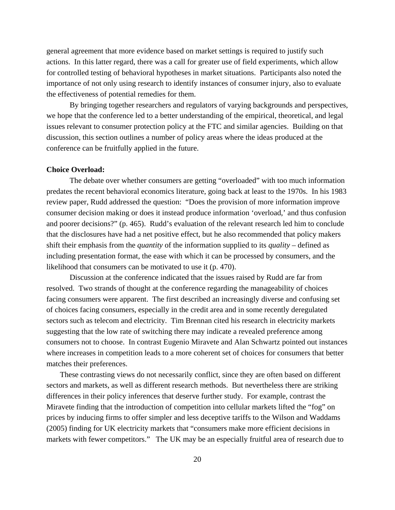general agreement that more evidence based on market settings is required to justify such actions. In this latter regard, there was a call for greater use of field experiments, which allow for controlled testing of behavioral hypotheses in market situations. Participants also noted the importance of not only using research to identify instances of consumer injury, also to evaluate the effectiveness of potential remedies for them.

By bringing together researchers and regulators of varying backgrounds and perspectives, we hope that the conference led to a better understanding of the empirical, theoretical, and legal issues relevant to consumer protection policy at the FTC and similar agencies. Building on that discussion, this section outlines a number of policy areas where the ideas produced at the conference can be fruitfully applied in the future.

#### **Choice Overload:**

The debate over whether consumers are getting "overloaded" with too much information predates the recent behavioral economics literature, going back at least to the 1970s. In his 1983 review paper, Rudd addressed the question: "Does the provision of more information improve consumer decision making or does it instead produce information 'overload,' and thus confusion and poorer decisions?" (p. 465). Rudd's evaluation of the relevant research led him to conclude that the disclosures have had a net positive effect, but he also recommended that policy makers shift their emphasis from the *quantity* of the information supplied to its *quality* – defined as including presentation format, the ease with which it can be processed by consumers, and the likelihood that consumers can be motivated to use it (p. 470).

Discussion at the conference indicated that the issues raised by Rudd are far from resolved. Two strands of thought at the conference regarding the manageability of choices facing consumers were apparent. The first described an increasingly diverse and confusing set of choices facing consumers, especially in the credit area and in some recently deregulated sectors such as telecom and electricity. Tim Brennan cited his research in electricity markets suggesting that the low rate of switching there may indicate a revealed preference among consumers not to choose. In contrast Eugenio Miravete and Alan Schwartz pointed out instances where increases in competition leads to a more coherent set of choices for consumers that better matches their preferences.

 These contrasting views do not necessarily conflict, since they are often based on different sectors and markets, as well as different research methods. But nevertheless there are striking differences in their policy inferences that deserve further study. For example, contrast the Miravete finding that the introduction of competition into cellular markets lifted the "fog" on prices by inducing firms to offer simpler and less deceptive tariffs to the Wilson and Waddams (2005) finding for UK electricity markets that "consumers make more efficient decisions in markets with fewer competitors." The UK may be an especially fruitful area of research due to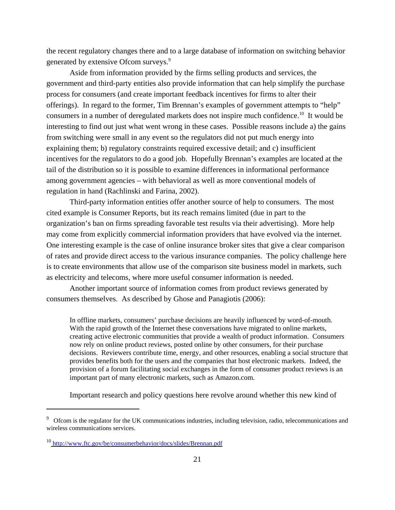the recent regulatory changes there and to a large database of information on switching behavior generated by extensive Ofcom surveys.<sup>9</sup>

Aside from information provided by the firms selling products and services, the government and third-party entities also provide information that can help simplify the purchase process for consumers (and create important feedback incentives for firms to alter their offerings). In regard to the former, Tim Brennan's examples of government attempts to "help" consumers in a number of deregulated markets does not inspire much confidence.10 It would be interesting to find out just what went wrong in these cases. Possible reasons include a) the gains from switching were small in any event so the regulators did not put much energy into explaining them; b) regulatory constraints required excessive detail; and c) insufficient incentives for the regulators to do a good job. Hopefully Brennan's examples are located at the tail of the distribution so it is possible to examine differences in informational performance among government agencies – with behavioral as well as more conventional models of regulation in hand (Rachlinski and Farina, 2002).

Third-party information entities offer another source of help to consumers. The most cited example is Consumer Reports, but its reach remains limited (due in part to the organization's ban on firms spreading favorable test results via their advertising). More help may come from explicitly commercial information providers that have evolved via the internet. One interesting example is the case of online insurance broker sites that give a clear comparison of rates and provide direct access to the various insurance companies. The policy challenge here is to create environments that allow use of the comparison site business model in markets, such as electricity and telecoms, where more useful consumer information is needed.

Another important source of information comes from product reviews generated by consumers themselves. As described by Ghose and Panagiotis (2006):

In offline markets, consumers' purchase decisions are heavily influenced by word-of-mouth. With the rapid growth of the Internet these conversations have migrated to online markets, creating active electronic communities that provide a wealth of product information. Consumers now rely on online product reviews, posted online by other consumers, for their purchase decisions. Reviewers contribute time, energy, and other resources, enabling a social structure that provides benefits both for the users and the companies that host electronic markets. Indeed, the provision of a forum facilitating social exchanges in the form of consumer product reviews is an important part of many electronic markets, such as Amazon.com.

Important research and policy questions here revolve around whether this new kind of

<sup>&</sup>lt;sup>9</sup> Ofcom is the regulator for the UK communications industries, including television, radio, telecommunications and wireless communications services.

<sup>10</sup> http://www.ftc.gov/be/consumerbehavior/docs/slides/Brennan.pdf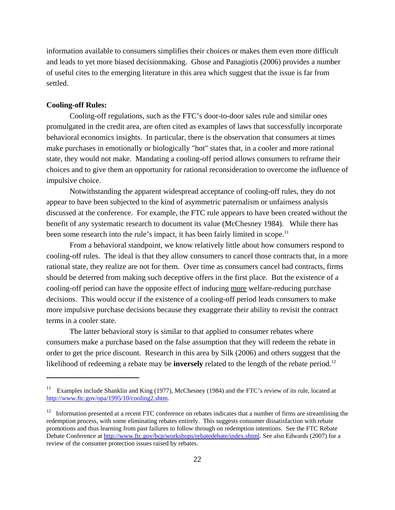information available to consumers simplifies their choices or makes them even more difficult and leads to yet more biased decisionmaking. Ghose and Panagiotis (2006) provides a number of useful cites to the emerging literature in this area which suggest that the issue is far from settled.

#### **Cooling-off Rules:**

Cooling-off regulations, such as the FTC's door-to-door sales rule and similar ones promulgated in the credit area, are often cited as examples of laws that successfully incorporate behavioral economics insights. In particular, there is the observation that consumers at times make purchases in emotionally or biologically "hot" states that, in a cooler and more rational state, they would not make. Mandating a cooling-off period allows consumers to reframe their choices and to give them an opportunity for rational reconsideration to overcome the influence of impulsive choice.

Notwithstanding the apparent widespread acceptance of cooling-off rules, they do not appear to have been subjected to the kind of asymmetric paternalism or unfairness analysis discussed at the conference. For example, the FTC rule appears to have been created without the benefit of any systematic research to document its value (McChesney 1984). While there has been some research into the rule's impact, it has been fairly limited in scope.<sup>11</sup>

From a behavioral standpoint, we know relatively little about how consumers respond to cooling-off rules. The ideal is that they allow consumers to cancel those contracts that, in a more rational state, they realize are not for them. Over time as consumers cancel bad contracts, firms should be deterred from making such deceptive offers in the first place. But the existence of a cooling-off period can have the opposite effect of inducing more welfare-reducing purchase decisions. This would occur if the existence of a cooling-off period leads consumers to make more impulsive purchase decisions because they exaggerate their ability to revisit the contract terms in a cooler state.

The latter behavioral story is similar to that applied to consumer rebates where consumers make a purchase based on the false assumption that they will redeem the rebate in order to get the price discount. Research in this area by Silk (2006) and others suggest that the likelihood of redeeming a rebate may be **inversely** related to the length of the rebate period.<sup>12</sup>

<sup>&</sup>lt;sup>11</sup> Examples include Shanklin and King (1977), McChesney (1984) and the FTC's review of its rule, located at http://www.ftc.gov/opa/1995/10/cooling2.shtm.

<sup>&</sup>lt;sup>12</sup> Information presented at a recent FTC conference on rebates indicates that a number of firms are streamlining the redemption process, with some eliminating rebates entirely. This suggests consumer dissatisfaction with rebate promotions and thus learning from past failures to follow through on redemption intentions. See the FTC Rebate Debate Conference at http://www.ftc.gov/bcp/workshops/rebatedebate/index.shtml. See also Edwards (2007) for a review of the consumer protection issues raised by rebates.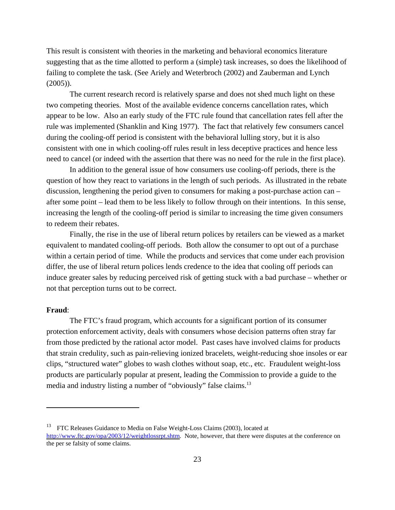This result is consistent with theories in the marketing and behavioral economics literature suggesting that as the time allotted to perform a (simple) task increases, so does the likelihood of failing to complete the task. (See Ariely and Weterbroch (2002) and Zauberman and Lynch (2005)).

The current research record is relatively sparse and does not shed much light on these two competing theories. Most of the available evidence concerns cancellation rates, which appear to be low. Also an early study of the FTC rule found that cancellation rates fell after the rule was implemented (Shanklin and King 1977). The fact that relatively few consumers cancel during the cooling-off period is consistent with the behavioral lulling story, but it is also consistent with one in which cooling-off rules result in less deceptive practices and hence less need to cancel (or indeed with the assertion that there was no need for the rule in the first place).

In addition to the general issue of how consumers use cooling-off periods, there is the question of how they react to variations in the length of such periods. As illustrated in the rebate discussion, lengthening the period given to consumers for making a post-purchase action can – after some point – lead them to be less likely to follow through on their intentions. In this sense, increasing the length of the cooling-off period is similar to increasing the time given consumers to redeem their rebates.

Finally, the rise in the use of liberal return polices by retailers can be viewed as a market equivalent to mandated cooling-off periods. Both allow the consumer to opt out of a purchase within a certain period of time. While the products and services that come under each provision differ, the use of liberal return polices lends credence to the idea that cooling off periods can induce greater sales by reducing perceived risk of getting stuck with a bad purchase – whether or not that perception turns out to be correct.

#### **Fraud**:

The FTC's fraud program, which accounts for a significant portion of its consumer protection enforcement activity, deals with consumers whose decision patterns often stray far from those predicted by the rational actor model. Past cases have involved claims for products that strain credulity, such as pain-relieving ionized bracelets, weight-reducing shoe insoles or ear clips, "structured water" globes to wash clothes without soap, etc., etc. Fraudulent weight-loss products are particularly popular at present, leading the Commission to provide a guide to the media and industry listing a number of "obviously" false claims.<sup>13</sup>

<sup>&</sup>lt;sup>13</sup> FTC Releases Guidance to Media on False Weight-Loss Claims (2003), located at

http://www.ftc.gov/opa/2003/12/weightlossrpt.shtm. Note, however, that there were disputes at the conference on the per se falsity of some claims.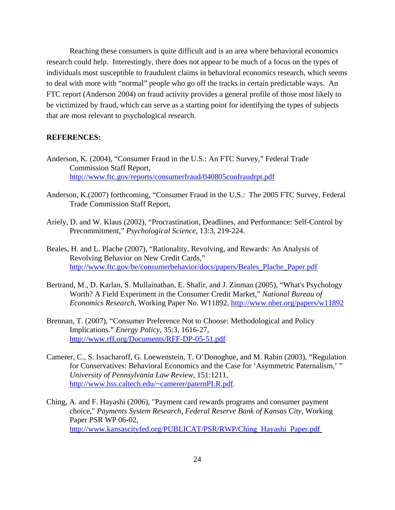Reaching these consumers is quite difficult and is an area where behavioral economics research could help. Interestingly, there does not appear to be much of a focus on the types of individuals most susceptible to fraudulent claims in behavioral economics research, which seems to deal with more with "normal" people who go off the tracks in certain predictable ways. An FTC report (Anderson 2004) on fraud activity provides a general profile of those most likely to be victimized by fraud, which can serve as a starting point for identifying the types of subjects that are most relevant to psychological research.

# **REFERENCES:**

- Anderson, K*.* (2004), "Consumer Fraud in the U.S.: An FTC Survey," Federal Trade Commission Staff Report, http://www.ftc.gov/reports/consumerfraud/040805confraudrpt.pdf
- Anderson, K.(2007) forthcoming, "Consumer Fraud in the U.S.: The 2005 FTC Survey, Federal Trade Commission Staff Report,
- Ariely, D. and W. Klaus (2002), "Procrastination, Deadlines, and Performance: Self-Control by Precommitment," *Psychological Science*, 13:3, 219-224.
- Beales, H. and L. Plache (2007), "Rationality, Revolving, and Rewards: An Analysis of Revolving Behavior on New Credit Cards," http://www.ftc.gov/be/consumerbehavior/docs/papers/Beales\_Plache\_Paper.pdf
- Bertrand, M., D. Karlan, S. Mullainathan, E. Shafir, and J. Zinman (2005), "What's Psychology Worth? A Field Experiment in the Consumer Credit Market," *National Bureau of Economics Research,* Working Paper No. W11892, http://www.nber.org/papers/w11892
- Brennan, T. (2007), "Consumer Preference Not to Choose: Methodological and Policy Implications." *Energy Policy,* 35:3, 1616-27, http://www.rff.org/Documents/RFF-DP-05-51.pdf
- Camerer, C., S. Issacharoff, G. Loewenstein, T. O'Donoghue, and M. Rabin (2003), "Regulation for Conservatives: Behavioral Economics and the Case for 'Asymmetric Paternalism,' " *University of Pennsylvania Law Review,* 151:1211, http://www.hss.caltech.edu/~camerer/paternPLR.pdf.
- Ching, A. and F. Hayashi (2006), "Payment card rewards programs and consumer payment choice," *Payments System Research, Federal Reserve Bank of Kansas City,* Working Paper PSR WP 06-02, http://www.kansascityfed.org/PUBLICAT/PSR/RWP/Ching\_Hayashi\_Paper.pdf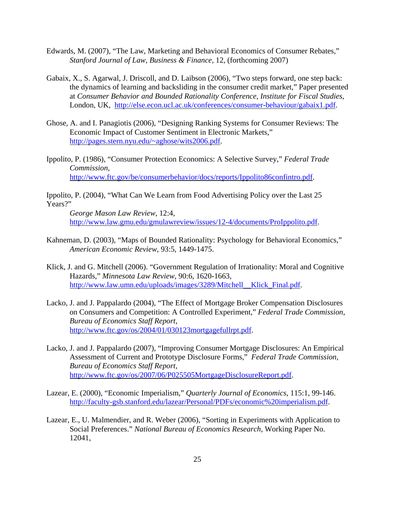- Edwards, M. (2007), "The Law, Marketing and Behavioral Economics of Consumer Rebates," *Stanford Journal of Law, Business & Finance,* 12*,* (forthcoming 2007)
- Gabaix, X., S. Agarwal, J. Driscoll, and D. Laibson (2006), "Two steps forward, one step back: the dynamics of learning and backsliding in the consumer credit market," Paper presented at *Consumer Behavior and Bounded Rationality Conference, Institute for Fiscal Studies*, London, UK, http://else.econ.ucl.ac.uk/conferences/consumer-behaviour/gabaix1.pdf.
- Ghose, A. and I. Panagiotis (2006), "Designing Ranking Systems for Consumer Reviews: The Economic Impact of Customer Sentiment in Electronic Markets," http://pages.stern.nyu.edu/~aghose/wits2006.pdf.
- Ippolito, P. (1986), "Consumer Protection Economics: A Selective Survey," *Federal Trade Commission,*  http://www.ftc.gov/be/consumerbehavior/docs/reports/Ippolito86confintro.pdf.

Ippolito, P. (2004), "What Can We Learn from Food Advertising Policy over the Last 25 Years?"

*George Mason Law Review*, 12:4, http://www.law.gmu.edu/gmulawreview/issues/12-4/documents/ProIppolito.pdf.

- Kahneman, D. (2003), "Maps of Bounded Rationality: Psychology for Behavioral Economics," *American Economic Review*, 93:5, 1449-1475.
- Klick, J. and G. Mitchell (2006). "Government Regulation of Irrationality: Moral and Cognitive Hazards," *Minnesota Law Review*, 90:6, 1620-1663, http://www.law.umn.edu/uploads/images/3289/Mitchell\_\_Klick\_Final.pdf.
- Lacko, J. and J. Pappalardo (2004), "The Effect of Mortgage Broker Compensation Disclosures on Consumers and Competition: A Controlled Experiment," *Federal Trade Commission, Bureau of Economics Staff Report,* http://www.ftc.gov/os/2004/01/030123mortgagefullrpt.pdf.
- Lacko, J. and J. Pappalardo (2007), "Improving Consumer Mortgage Disclosures: An Empirical Assessment of Current and Prototype Disclosure Forms," *Federal Trade Commission, Bureau of Economics Staff Report,*  http://www.ftc.gov/os/2007/06/P025505MortgageDisclosureReport.pdf.
- Lazear, E. (2000), "Economic Imperialism," *Quarterly Journal of Economics,* 115:1, 99-146. http://faculty-gsb.stanford.edu/lazear/Personal/PDFs/economic%20imperialism.pdf.
- Lazear, E., U. Malmendier, and R. Weber (2006), "Sorting in Experiments with Application to Social Preferences." *National Bureau of Economics Research,* Working Paper No. 12041,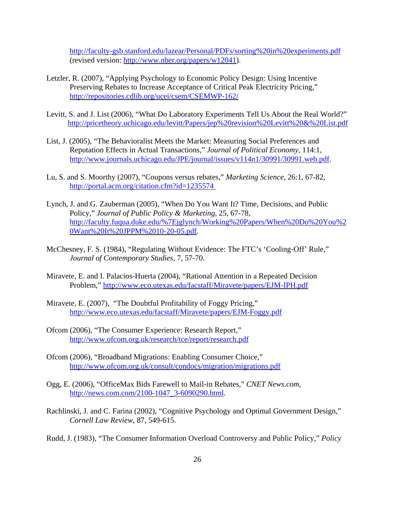http://faculty-gsb.stanford.edu/lazear/Personal/PDFs/sorting%20in%20experiments.pdf (revised version: http://www.nber.org/papers/w12041).

- Letzler, R. (2007), "Applying Psychology to Economic Policy Design: Using Incentive Preserving Rebates to Increase Acceptance of Critical Peak Electricity Pricing," http://repositories.cdlib.org/ucei/csem/CSEMWP-162/
- Levitt, S. and J. List (2006), "What Do Laboratory Experiments Tell Us About the Real World?" http://pricetheory.uchicago.edu/levitt/Papers/jep%20revision%20Levitt%20&%20List.pdf
- List, J. (2005), "The Behavioralist Meets the Market: Measuring Social Preferences and Reputation Effects in Actual Transactions," *Journal of Political Economy*, 114:1, http://www.journals.uchicago.edu/JPE/journal/issues/v114n1/30991/30991.web.pdf.
- Lu, S. and S. Moorthy (2007), "Coupons versus rebates," *Marketing Science,* 26:1, 67-82, http://portal.acm.org/citation.cfm?id=1235574
- Lynch, J. and G. Zauberman (2005), "When Do You Want It? Time, Decisions, and Public Policy," *Journal of Public Policy & Marketing*, 25, 67-78, http://faculty.fuqua.duke.edu/%7Ejglynch/Working%20Papers/When%20Do%20You%2 0Want%20It%20JPPM%2010-20-05.pdf.
- McChesney, F. S. (1984), "Regulating Without Evidence: The FTC's 'Cooling-Off' Rule," *Journal of Contemporary Studies*, 7, 57-70.
- Miravete, E. and I. Palacios-Huerta (2004), "Rational Attention in a Repeated Decision Problem," http://www.eco.utexas.edu/facstaff/Miravete/papers/EJM-IPH.pdf
- Miravete, E. (2007), "The Doubtful Profitability of Foggy Pricing," http://www.eco.utexas.edu/facstaff/Miravete/papers/EJM-Foggy.pdf
- Ofcom (2006), "The Consumer Experience: Research Report," http://www.ofcom.org.uk/research/tce/report/research.pdf
- Ofcom (2006), "Broadband Migrations: Enabling Consumer Choice," http://www.ofcom.org.uk/consult/condocs/migration/migrations.pdf
- Ogg, E. (2006), "OfficeMax Bids Farewell to Mail-in Rebates," *CNET News.com,* http://news.com.com/2100-1047\_3-6090290.html.
- Rachlinski, J. and C. Farina (2002), "Cognitive Psychology and Optimal Government Design," *Cornell Law Review*, 87, 549-615.
- Rudd, J. (1983), "The Consumer Information Overload Controversy and Public Policy," *Policy*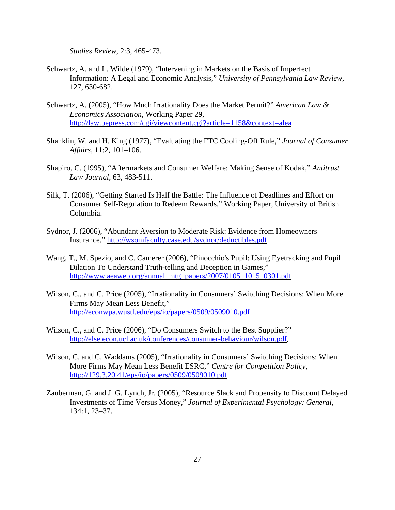*Studies Review*, 2:3, 465-473.

- Schwartz, A. and L. Wilde (1979), "Intervening in Markets on the Basis of Imperfect Information: A Legal and Economic Analysis," *University of Pennsylvania Law Review*, 127, 630-682.
- Schwartz, A. (2005), "How Much Irrationality Does the Market Permit?" *American Law & Economics Association,* Working Paper 29, http://law.bepress.com/cgi/viewcontent.cgi?article=1158&context=alea
- Shanklin, W. and H. King (1977), "Evaluating the FTC Cooling-Off Rule," *Journal of Consumer Affairs,* 11:2, 101–106.
- Shapiro, C. (1995), "Aftermarkets and Consumer Welfare: Making Sense of Kodak," *Antitrust Law Journal*, 63, 483-511.
- Silk, T. (2006), "Getting Started Is Half the Battle: The Influence of Deadlines and Effort on Consumer Self-Regulation to Redeem Rewards," Working Paper, University of British Columbia.
- Sydnor, J. (2006), "Abundant Aversion to Moderate Risk: Evidence from Homeowners Insurance," http://wsomfaculty.case.edu/sydnor/deductibles.pdf.
- Wang, T., M. Spezio, and C. Camerer (2006), "Pinocchio's Pupil: Using Eyetracking and Pupil Dilation To Understand Truth-telling and Deception in Games," http://www.aeaweb.org/annual\_mtg\_papers/2007/0105\_1015\_0301.pdf
- Wilson, C., and C. Price (2005), "Irrationality in Consumers' Switching Decisions: When More Firms May Mean Less Benefit," http://econwpa.wustl.edu/eps/io/papers/0509/0509010.pdf
- Wilson, C., and C. Price (2006), "Do Consumers Switch to the Best Supplier?" http://else.econ.ucl.ac.uk/conferences/consumer-behaviour/wilson.pdf.
- Wilson, C. and C. Waddams (2005), "Irrationality in Consumers' Switching Decisions: When More Firms May Mean Less Benefit ESRC," *Centre for Competition Policy*, http://129.3.20.41/eps/io/papers/0509/0509010.pdf.
- Zauberman, G. and J. G. Lynch, Jr. (2005), "Resource Slack and Propensity to Discount Delayed Investments of Time Versus Money," *Journal of Experimental Psychology: General*, 134:1, 23–37.